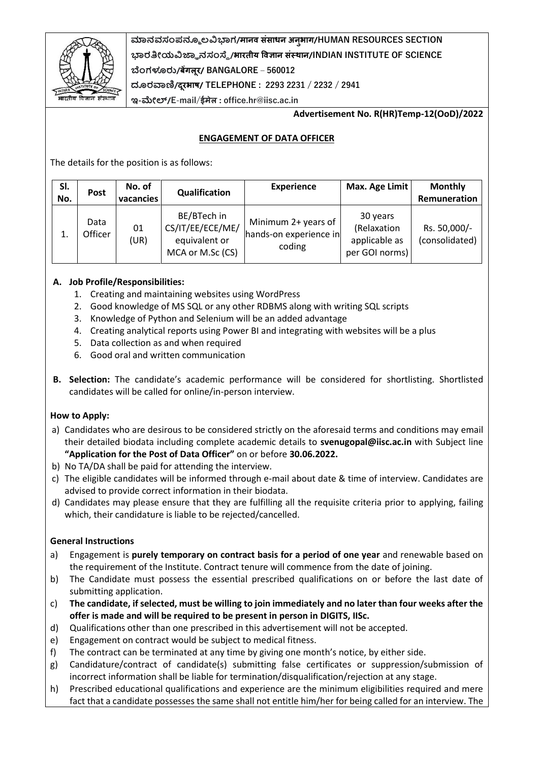

**ಮಾನವಸಂಪನ್ಮೂ ಲವಿಭಾಗ/मानव संसाधन अनभु ाग/HUMAN RESOURCES SECTION ಭಾರತೀಯವಿಜ್ಞಾ ನಸಂಸ್ಥೆ/भारतीय ववज्ञान संस्थान/INDIAN INSTITUTE OF SCIENCE ಬೆಂಗಳೂರು/बेंगलूर/ BANGALORE – 560012 ದೂರವಾಣಿ/दरूभाष/ TELEPHONE : 2293 2231 / 2232 / 2941**

**ಇ-ಮೇಲ್/E**-**mail/ईमेल : office.hr@iisc.ac.in**

### **Advertisement No. R(HR)Temp-12(OoD)/2022**

## **ENGAGEMENT OF DATA OFFICER**

The details for the position is as follows:

| SI.<br>No. | Post            | No. of<br>vacancies | Qualification                                                        | <b>Experience</b>                                       | Max. Age Limit                                             | <b>Monthly</b><br>Remuneration |
|------------|-----------------|---------------------|----------------------------------------------------------------------|---------------------------------------------------------|------------------------------------------------------------|--------------------------------|
|            | Data<br>Officer | 01<br>(UR)          | BE/BTech in<br>CS/IT/EE/ECE/ME/<br>equivalent or<br>MCA or M.Sc (CS) | Minimum 2+ years of<br>hands-on experience in<br>coding | 30 years<br>(Relaxation<br>applicable as<br>per GOI norms) | Rs. 50,000/-<br>(consolidated) |

# **A. Job Profile/Responsibilities:**

- 1. Creating and maintaining websites using WordPress
- 2. Good knowledge of MS SQL or any other RDBMS along with writing SQL scripts
- 3. Knowledge of Python and Selenium will be an added advantage
- 4. Creating analytical reports using Power BI and integrating with websites will be a plus
- 5. Data collection as and when required
- 6. Good oral and written communication
- **B. Selection:** The candidate's academic performance will be considered for shortlisting. Shortlisted candidates will be called for online/in-person interview.

### **How to Apply:**

- a) Candidates who are desirous to be considered strictly on the aforesaid terms and conditions may email their detailed biodata including complete academic details to **svenugopal@iisc.ac.in** with Subject line **"Application for the Post of Data Officer"** on or before **30.06.2022.**
- b) No TA/DA shall be paid for attending the interview.
- c) The eligible candidates will be informed through e-mail about date & time of interview. Candidates are advised to provide correct information in their biodata.
- d) Candidates may please ensure that they are fulfilling all the requisite criteria prior to applying, failing which, their candidature is liable to be rejected/cancelled.

### **General Instructions**

- a) Engagement is **purely temporary on contract basis for a period of one year** and renewable based on the requirement of the Institute. Contract tenure will commence from the date of joining.
- b) The Candidate must possess the essential prescribed qualifications on or before the last date of submitting application.
- c) **The candidate, if selected, must be willing to join immediately and no later than four weeks after the offer is made and will be required to be present in person in DIGITS, IISc.**
- d) Qualifications other than one prescribed in this advertisement will not be accepted.
- e) Engagement on contract would be subject to medical fitness.
- f) The contract can be terminated at any time by giving one month's notice, by either side.
- g) Candidature/contract of candidate(s) submitting false certificates or suppression/submission of incorrect information shall be liable for termination/disqualification/rejection at any stage.
- h) Prescribed educational qualifications and experience are the minimum eligibilities required and mere fact that a candidate possesses the same shall not entitle him/her for being called for an interview. The